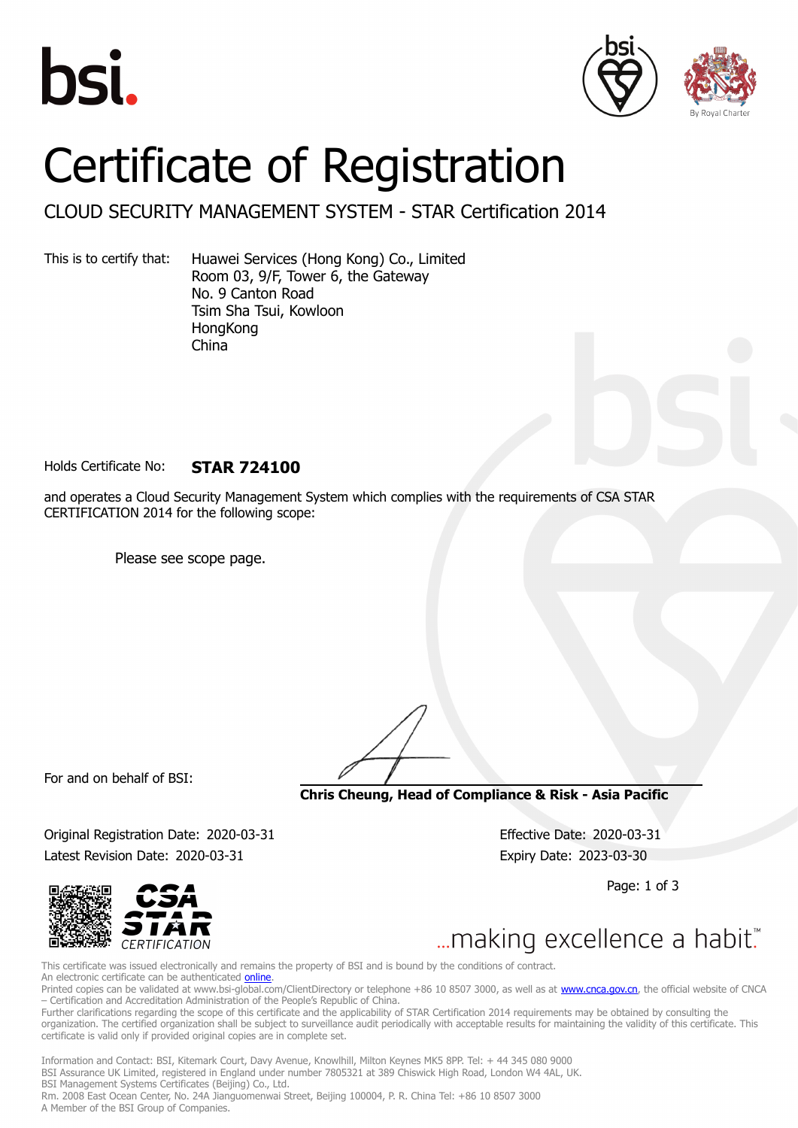





## Certificate of Registration

## CLOUD SECURITY MANAGEMENT SYSTEM - STAR Certification 2014

This is to certify that: Huawei Services (Hong Kong) Co., Limited Room 03, 9/F, Tower 6, the Gateway No. 9 Canton Road Tsim Sha Tsui, Kowloon HongKong China

Holds Certificate No: **STAR 724100**

and operates a Cloud Security Management System which complies with the requirements of CSA STAR CERTIFICATION 2014 for the following scope:

Please see scope page.

For and on behalf of BSI:

**Chris Cheung, Head of Compliance & Risk - Asia Pacific**

Original Registration Date: 2020-03-31 Effective Date: 2020-03-31 Latest Revision Date: 2020-03-31 Expiry Date: 2023-03-30

Page: 1 of 3



... making excellence a habit."

This certificate was issued electronically and remains the property of BSI and is bound by the conditions of contract. An electronic certificate can be authenticated [online](https://pgplus.bsigroup.com/CertificateValidation/CertificateValidator.aspx?CertificateNumber=STAR+724100&ReIssueDate=31%2f03%2f2020&Template=cnen). Printed copies can be validated at www.bsi-global.com/ClientDirectory or telephone +86 10 8507 3000, as well as at [www.cnca.gov.cn,](www.cnca.gov.cn) the official website of CNCA – Certification and Accreditation Administration of the People's Republic of China.

Further clarifications regarding the scope of this certificate and the applicability of STAR Certification 2014 requirements may be obtained by consulting the organization. The certified organization shall be subject to surveillance audit periodically with acceptable results for maintaining the validity of this certificate. This certificate is valid only if provided original copies are in complete set.

Information and Contact: BSI, Kitemark Court, Davy Avenue, Knowlhill, Milton Keynes MK5 8PP. Tel: + 44 345 080 9000 BSI Assurance UK Limited, registered in England under number 7805321 at 389 Chiswick High Road, London W4 4AL, UK. BSI Management Systems Certificates (Beijing) Co., Ltd. Rm. 2008 East Ocean Center, No. 24A Jianguomenwai Street, Beijing 100004, P. R. China Tel: +86 10 8507 3000 A Member of the BSI Group of Companies.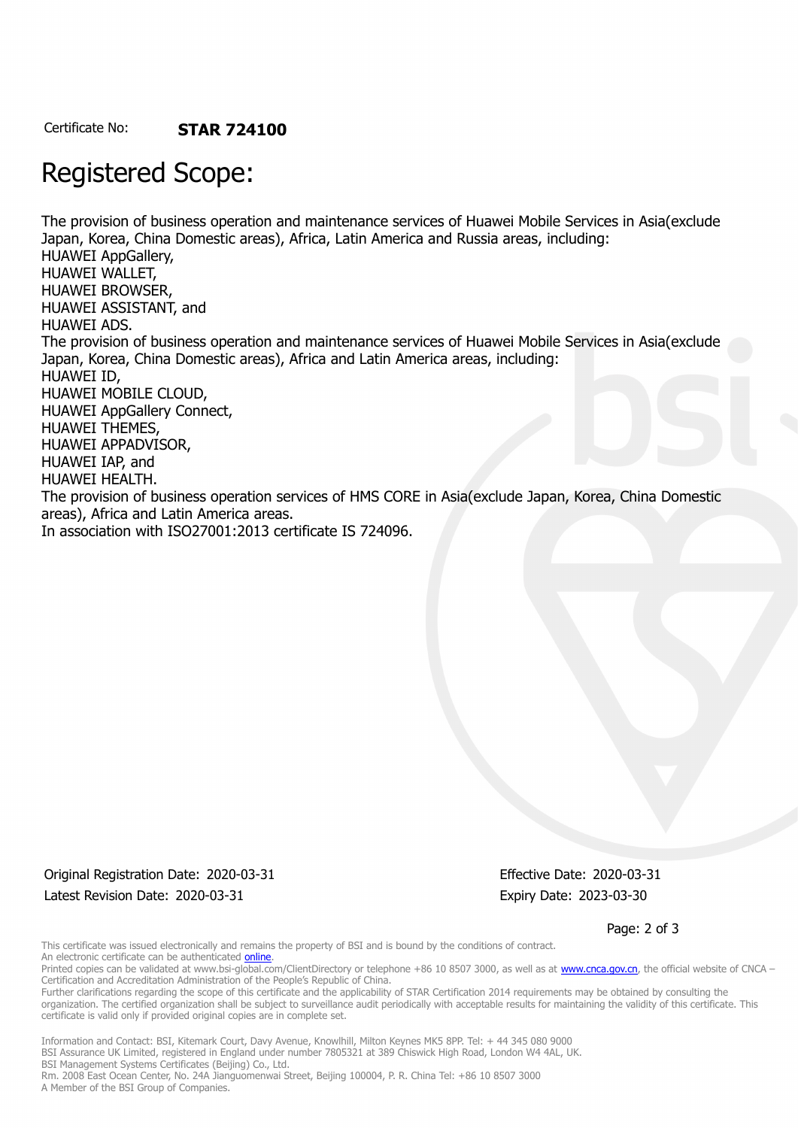Certificate No: **STAR 724100**

## Registered Scope:

The provision of business operation and maintenance services of Huawei Mobile Services in Asia(exclude Japan, Korea, China Domestic areas), Africa, Latin America and Russia areas, including: HUAWEI AppGallery, HUAWEI WALLET, HUAWEI BROWSER, HUAWEI ASSISTANT, and HUAWEI ADS. The provision of business operation and maintenance services of Huawei Mobile Services in Asia(exclude Japan, Korea, China Domestic areas), Africa and Latin America areas, including: HUAWEI ID, HUAWEI MOBILE CLOUD, HUAWEI AppGallery Connect, HUAWEI THEMES, HUAWEI APPADVISOR, HUAWEI IAP, and HUAWEI HEALTH. The provision of business operation services of HMS CORE in Asia(exclude Japan, Korea, China Domestic areas), Africa and Latin America areas. In association with ISO27001:2013 certificate IS 724096.

Original Registration Date: 2020-03-31 Effective Date: 2020-03-31 Latest Revision Date: 2020-03-31 Expiry Date: 2023-03-30

Page: 2 of 3

This certificate was issued electronically and remains the property of BSI and is bound by the conditions of contract. An electronic certificate can be authenticated *[online](https://pgplus.bsigroup.com/CertificateValidation/CertificateValidator.aspx?CertificateNumber=STAR+724100&ReIssueDate=31%2f03%2f2020&Template=cnen)*.

Printed copies can be validated at www.bsi-global.com/ClientDirectory or telephone +86 10 8507 3000, as well as at [www.cnca.gov.cn,](www.cnca.gov.cn) the official website of CNCA – Certification and Accreditation Administration of the People's Republic of China.

Further clarifications regarding the scope of this certificate and the applicability of STAR Certification 2014 requirements may be obtained by consulting the organization. The certified organization shall be subject to surveillance audit periodically with acceptable results for maintaining the validity of this certificate. This certificate is valid only if provided original copies are in complete set.

Information and Contact: BSI, Kitemark Court, Davy Avenue, Knowlhill, Milton Keynes MK5 8PP. Tel: + 44 345 080 9000 BSI Assurance UK Limited, registered in England under number 7805321 at 389 Chiswick High Road, London W4 4AL, UK. BSI Management Systems Certificates (Beijing) Co., Ltd.

Rm. 2008 East Ocean Center, No. 24A Jianguomenwai Street, Beijing 100004, P. R. China Tel: +86 10 8507 3000 A Member of the BSI Group of Companies.